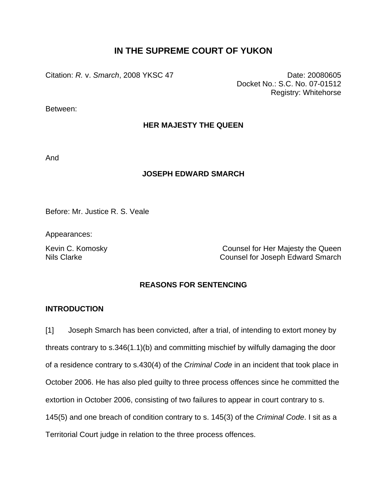# **IN THE SUPREME COURT OF YUKON**

Citation: *R. v. Smarch*, 2008 YKSC 47 **Date: 20080605** Date: 20080605

Docket No.: S.C. No. 07-01512 Registry: Whitehorse

Between:

## **HER MAJESTY THE QUEEN**

And

## **JOSEPH EDWARD SMARCH**

Before: Mr. Justice R. S. Veale

Appearances:

Kevin C. Komosky **Counsel for Her Majesty the Queen** Nils Clarke Counsel for Joseph Edward Smarch

## **REASONS FOR SENTENCING**

### **INTRODUCTION**

[1] Joseph Smarch has been convicted, after a trial, of intending to extort money by threats contrary to s.346(1.1)(b) and committing mischief by wilfully damaging the door of a residence contrary to s.430(4) of the *Criminal Code* in an incident that took place in October 2006. He has also pled guilty to three process offences since he committed the extortion in October 2006, consisting of two failures to appear in court contrary to s. 145(5) and one breach of condition contrary to s. 145(3) of the *Criminal Code*. I sit as a Territorial Court judge in relation to the three process offences.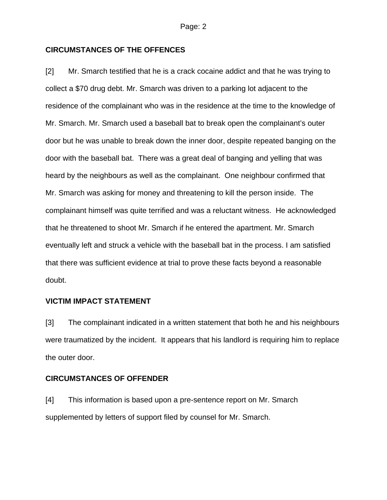### **CIRCUMSTANCES OF THE OFFENCES**

[2] Mr. Smarch testified that he is a crack cocaine addict and that he was trying to collect a \$70 drug debt. Mr. Smarch was driven to a parking lot adjacent to the residence of the complainant who was in the residence at the time to the knowledge of Mr. Smarch. Mr. Smarch used a baseball bat to break open the complainant's outer door but he was unable to break down the inner door, despite repeated banging on the door with the baseball bat. There was a great deal of banging and yelling that was heard by the neighbours as well as the complainant. One neighbour confirmed that Mr. Smarch was asking for money and threatening to kill the person inside. The complainant himself was quite terrified and was a reluctant witness. He acknowledged that he threatened to shoot Mr. Smarch if he entered the apartment. Mr. Smarch eventually left and struck a vehicle with the baseball bat in the process. I am satisfied that there was sufficient evidence at trial to prove these facts beyond a reasonable doubt.

### **VICTIM IMPACT STATEMENT**

[3] The complainant indicated in a written statement that both he and his neighbours were traumatized by the incident. It appears that his landlord is requiring him to replace the outer door.

### **CIRCUMSTANCES OF OFFENDER**

[4] This information is based upon a pre-sentence report on Mr. Smarch supplemented by letters of support filed by counsel for Mr. Smarch.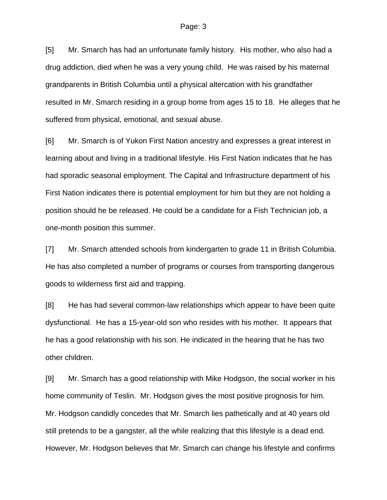[5] Mr. Smarch has had an unfortunate family history. His mother, who also had a drug addiction, died when he was a very young child. He was raised by his maternal grandparents in British Columbia until a physical altercation with his grandfather resulted in Mr. Smarch residing in a group home from ages 15 to 18. He alleges that he suffered from physical, emotional, and sexual abuse.

[6] Mr. Smarch is of Yukon First Nation ancestry and expresses a great interest in learning about and living in a traditional lifestyle. His First Nation indicates that he has had sporadic seasonal employment. The Capital and Infrastructure department of his First Nation indicates there is potential employment for him but they are not holding a position should he be released. He could be a candidate for a Fish Technician job, a one-month position this summer.

[7] Mr. Smarch attended schools from kindergarten to grade 11 in British Columbia. He has also completed a number of programs or courses from transporting dangerous goods to wilderness first aid and trapping.

[8] He has had several common-law relationships which appear to have been quite dysfunctional. He has a 15-year-old son who resides with his mother. It appears that he has a good relationship with his son. He indicated in the hearing that he has two other children.

[9] Mr. Smarch has a good relationship with Mike Hodgson, the social worker in his home community of Teslin. Mr. Hodgson gives the most positive prognosis for him. Mr. Hodgson candidly concedes that Mr. Smarch lies pathetically and at 40 years old still pretends to be a gangster, all the while realizing that this lifestyle is a dead end. However, Mr. Hodgson believes that Mr. Smarch can change his lifestyle and confirms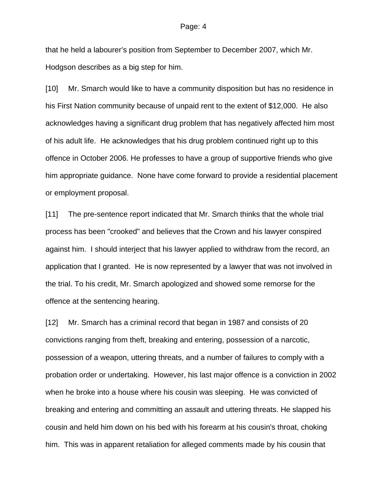that he held a labourer's position from September to December 2007, which Mr. Hodgson describes as a big step for him.

[10] Mr. Smarch would like to have a community disposition but has no residence in his First Nation community because of unpaid rent to the extent of \$12,000. He also acknowledges having a significant drug problem that has negatively affected him most of his adult life. He acknowledges that his drug problem continued right up to this offence in October 2006. He professes to have a group of supportive friends who give him appropriate guidance. None have come forward to provide a residential placement or employment proposal.

[11] The pre-sentence report indicated that Mr. Smarch thinks that the whole trial process has been "crooked" and believes that the Crown and his lawyer conspired against him. I should interject that his lawyer applied to withdraw from the record, an application that I granted. He is now represented by a lawyer that was not involved in the trial. To his credit, Mr. Smarch apologized and showed some remorse for the offence at the sentencing hearing.

[12] Mr. Smarch has a criminal record that began in 1987 and consists of 20 convictions ranging from theft, breaking and entering, possession of a narcotic, possession of a weapon, uttering threats, and a number of failures to comply with a probation order or undertaking. However, his last major offence is a conviction in 2002 when he broke into a house where his cousin was sleeping. He was convicted of breaking and entering and committing an assault and uttering threats. He slapped his cousin and held him down on his bed with his forearm at his cousin's throat, choking him. This was in apparent retaliation for alleged comments made by his cousin that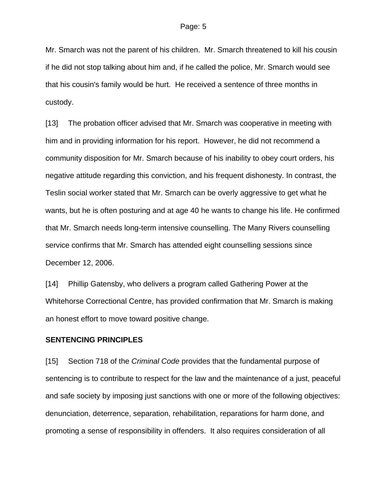Mr. Smarch was not the parent of his children. Mr. Smarch threatened to kill his cousin if he did not stop talking about him and, if he called the police, Mr. Smarch would see that his cousin's family would be hurt. He received a sentence of three months in custody.

[13] The probation officer advised that Mr. Smarch was cooperative in meeting with him and in providing information for his report. However, he did not recommend a community disposition for Mr. Smarch because of his inability to obey court orders, his negative attitude regarding this conviction, and his frequent dishonesty. In contrast, the Teslin social worker stated that Mr. Smarch can be overly aggressive to get what he wants, but he is often posturing and at age 40 he wants to change his life. He confirmed that Mr. Smarch needs long-term intensive counselling. The Many Rivers counselling service confirms that Mr. Smarch has attended eight counselling sessions since December 12, 2006.

[14] Phillip Gatensby, who delivers a program called Gathering Power at the Whitehorse Correctional Centre, has provided confirmation that Mr. Smarch is making an honest effort to move toward positive change.

### **SENTENCING PRINCIPLES**

[15] Section 718 of the *Criminal Code* provides that the fundamental purpose of sentencing is to contribute to respect for the law and the maintenance of a just, peaceful and safe society by imposing just sanctions with one or more of the following objectives: denunciation, deterrence, separation, rehabilitation, reparations for harm done, and promoting a sense of responsibility in offenders. It also requires consideration of all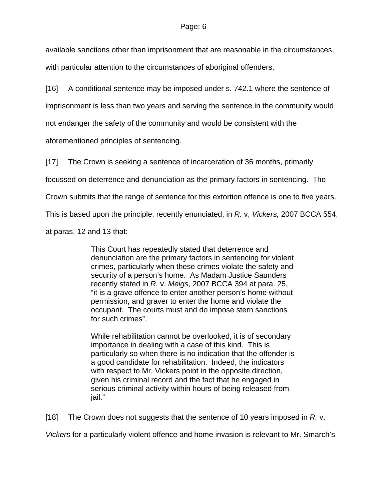available sanctions other than imprisonment that are reasonable in the circumstances, with particular attention to the circumstances of aboriginal offenders.

[16] A conditional sentence may be imposed under s. 742.1 where the sentence of imprisonment is less than two years and serving the sentence in the community would not endanger the safety of the community and would be consistent with the

aforementioned principles of sentencing.

[17] The Crown is seeking a sentence of incarceration of 36 months, primarily

focussed on deterrence and denunciation as the primary factors in sentencing. The

Crown submits that the range of sentence for this extortion offence is one to five years.

This is based upon the principle, recently enunciated, in *R.* v, *Vickers,* 2007 BCCA 554,

at paras. 12 and 13 that:

This Court has repeatedly stated that deterrence and denunciation are the primary factors in sentencing for violent crimes, particularly when these crimes violate the safety and security of a person's home. As Madam Justice Saunders recently stated in *R.* v. *Meigs*, 2007 BCCA 394 at para. 25, "it is a grave offence to enter another person's home without permission, and graver to enter the home and violate the occupant. The courts must and do impose stern sanctions for such crimes".

While rehabilitation cannot be overlooked, it is of secondary importance in dealing with a case of this kind. This is particularly so when there is no indication that the offender is a good candidate for rehabilitation. Indeed, the indicators with respect to Mr. Vickers point in the opposite direction, given his criminal record and the fact that he engaged in serious criminal activity within hours of being released from jail."

[18] The Crown does not suggests that the sentence of 10 years imposed in *R.* v.

*Vickers* for a particularly violent offence and home invasion is relevant to Mr. Smarch's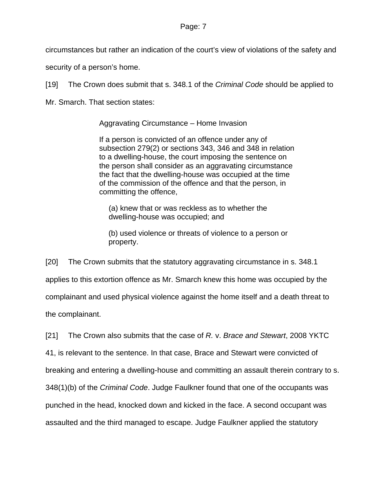circumstances but rather an indication of the court's view of violations of the safety and

security of a person's home.

[19] The Crown does submit that s. 348.1 of the *Criminal Code* should be applied to

Mr. Smarch. That section states:

Aggravating Circumstance – Home Invasion

If a person is convicted of an offence under any of subsection 279(2) or sections 343, 346 and 348 in relation to a dwelling-house, the court imposing the sentence on the person shall consider as an aggravating circumstance the fact that the dwelling-house was occupied at the time of the commission of the offence and that the person, in committing the offence,

(a) knew that or was reckless as to whether the dwelling-house was occupied; and

(b) used violence or threats of violence to a person or property.

[20] The Crown submits that the statutory aggravating circumstance in s. 348.1 applies to this extortion offence as Mr. Smarch knew this home was occupied by the complainant and used physical violence against the home itself and a death threat to the complainant.

[21] The Crown also submits that the case of *R.* v. *Brace and Stewart*, 2008 YKTC 41, is relevant to the sentence. In that case, Brace and Stewart were convicted of breaking and entering a dwelling-house and committing an assault therein contrary to s. 348(1)(b) of the *Criminal Code*. Judge Faulkner found that one of the occupants was punched in the head, knocked down and kicked in the face. A second occupant was assaulted and the third managed to escape. Judge Faulkner applied the statutory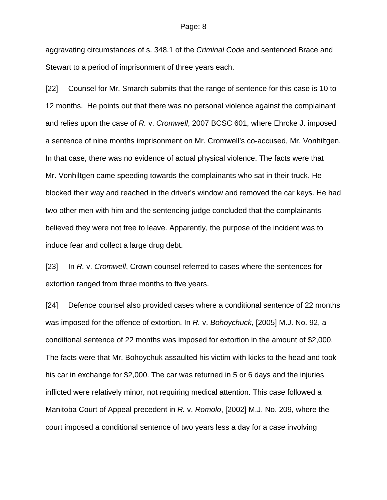aggravating circumstances of s. 348.1 of the *Criminal Code* and sentenced Brace and Stewart to a period of imprisonment of three years each.

[22] Counsel for Mr. Smarch submits that the range of sentence for this case is 10 to 12 months. He points out that there was no personal violence against the complainant and relies upon the case of *R.* v. *Cromwell*, 2007 BCSC 601, where Ehrcke J. imposed a sentence of nine months imprisonment on Mr. Cromwell's co-accused, Mr. Vonhiltgen. In that case, there was no evidence of actual physical violence. The facts were that Mr. Vonhiltgen came speeding towards the complainants who sat in their truck. He blocked their way and reached in the driver's window and removed the car keys. He had two other men with him and the sentencing judge concluded that the complainants believed they were not free to leave. Apparently, the purpose of the incident was to induce fear and collect a large drug debt.

[23] In *R.* v. *Cromwell*, Crown counsel referred to cases where the sentences for extortion ranged from three months to five years.

[24] Defence counsel also provided cases where a conditional sentence of 22 months was imposed for the offence of extortion. In *R.* v. *Bohoychuck*, [2005] M.J. No. 92, a conditional sentence of 22 months was imposed for extortion in the amount of \$2,000. The facts were that Mr. Bohoychuk assaulted his victim with kicks to the head and took his car in exchange for \$2,000. The car was returned in 5 or 6 days and the injuries inflicted were relatively minor, not requiring medical attention. This case followed a Manitoba Court of Appeal precedent in *R.* v. *Romolo*, [2002] M.J. No. 209, where the court imposed a conditional sentence of two years less a day for a case involving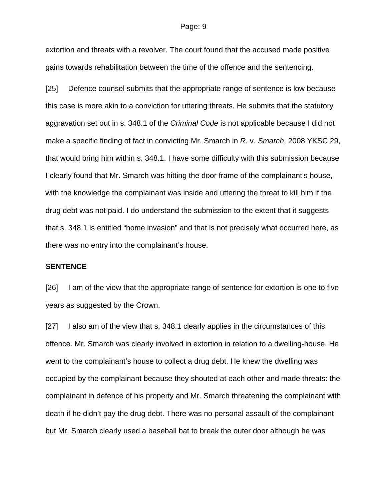extortion and threats with a revolver. The court found that the accused made positive gains towards rehabilitation between the time of the offence and the sentencing.

[25] Defence counsel submits that the appropriate range of sentence is low because this case is more akin to a conviction for uttering threats. He submits that the statutory aggravation set out in s. 348.1 of the *Criminal Code* is not applicable because I did not make a specific finding of fact in convicting Mr. Smarch in *R.* v. *Smarch*, 2008 YKSC 29, that would bring him within s. 348.1. I have some difficulty with this submission because I clearly found that Mr. Smarch was hitting the door frame of the complainant's house, with the knowledge the complainant was inside and uttering the threat to kill him if the drug debt was not paid. I do understand the submission to the extent that it suggests that s. 348.1 is entitled "home invasion" and that is not precisely what occurred here, as there was no entry into the complainant's house.

### **SENTENCE**

[26] I am of the view that the appropriate range of sentence for extortion is one to five years as suggested by the Crown.

[27] I also am of the view that s. 348.1 clearly applies in the circumstances of this offence. Mr. Smarch was clearly involved in extortion in relation to a dwelling-house. He went to the complainant's house to collect a drug debt. He knew the dwelling was occupied by the complainant because they shouted at each other and made threats: the complainant in defence of his property and Mr. Smarch threatening the complainant with death if he didn't pay the drug debt. There was no personal assault of the complainant but Mr. Smarch clearly used a baseball bat to break the outer door although he was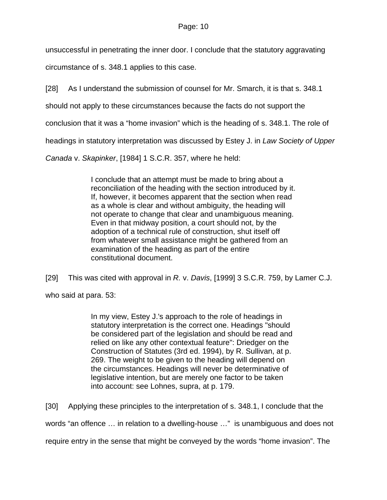unsuccessful in penetrating the inner door. I conclude that the statutory aggravating

circumstance of s. 348.1 applies to this case.

[28] As I understand the submission of counsel for Mr. Smarch, it is that s. 348.1

should not apply to these circumstances because the facts do not support the

conclusion that it was a "home invasion" which is the heading of s. 348.1. The role of

headings in statutory interpretation was discussed by Estey J. in *Law Society of Upper* 

*Canada* v. *Skapinker*, [1984] 1 S.C.R. 357, where he held:

I conclude that an attempt must be made to bring about a reconciliation of the heading with the section introduced by it. If, however, it becomes apparent that the section when read as a whole is clear and without ambiguity, the heading will not operate to change that clear and unambiguous meaning. Even in that midway position, a court should not, by the adoption of a technical rule of construction, shut itself off from whatever small assistance might be gathered from an examination of the heading as part of the entire constitutional document.

[29] This was cited with approval in *R.* v. *Davis*, [1999] 3 S.C.R. 759, by Lamer C.J.

who said at para. 53:

In my view, Estey J.'s approach to the role of headings in statutory interpretation is the correct one. Headings "should be considered part of the legislation and should be read and relied on like any other contextual feature": Driedger on the Construction of Statutes (3rd ed. 1994), by R. Sullivan, at p. 269. The weight to be given to the heading will depend on the circumstances. Headings will never be determinative of legislative intention, but are merely one factor to be taken into account: see Lohnes, supra, at p. 179.

[30] Applying these principles to the interpretation of s. 348.1, I conclude that the

words "an offence … in relation to a dwelling-house …" is unambiguous and does not

require entry in the sense that might be conveyed by the words "home invasion". The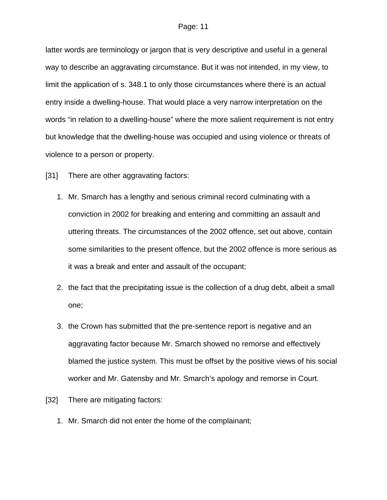latter words are terminology or jargon that is very descriptive and useful in a general way to describe an aggravating circumstance. But it was not intended, in my view, to limit the application of s. 348.1 to only those circumstances where there is an actual entry inside a dwelling-house. That would place a very narrow interpretation on the words "in relation to a dwelling-house" where the more salient requirement is not entry but knowledge that the dwelling-house was occupied and using violence or threats of violence to a person or property.

[31] There are other aggravating factors:

- 1. Mr. Smarch has a lengthy and serious criminal record culminating with a conviction in 2002 for breaking and entering and committing an assault and uttering threats. The circumstances of the 2002 offence, set out above, contain some similarities to the present offence, but the 2002 offence is more serious as it was a break and enter and assault of the occupant;
- 2. the fact that the precipitating issue is the collection of a drug debt, albeit a small one;
- 3. the Crown has submitted that the pre-sentence report is negative and an aggravating factor because Mr. Smarch showed no remorse and effectively blamed the justice system. This must be offset by the positive views of his social worker and Mr. Gatensby and Mr. Smarch's apology and remorse in Court.
- [32] There are mitigating factors:
	- 1. Mr. Smarch did not enter the home of the complainant;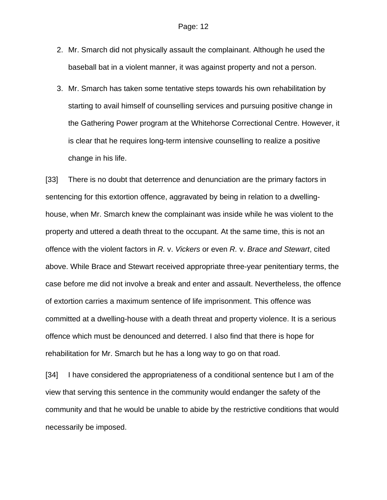- 2. Mr. Smarch did not physically assault the complainant. Although he used the baseball bat in a violent manner, it was against property and not a person.
- 3. Mr. Smarch has taken some tentative steps towards his own rehabilitation by starting to avail himself of counselling services and pursuing positive change in the Gathering Power program at the Whitehorse Correctional Centre. However, it is clear that he requires long-term intensive counselling to realize a positive change in his life.

[33] There is no doubt that deterrence and denunciation are the primary factors in sentencing for this extortion offence, aggravated by being in relation to a dwellinghouse, when Mr. Smarch knew the complainant was inside while he was violent to the property and uttered a death threat to the occupant. At the same time, this is not an offence with the violent factors in *R.* v. *Vickers* or even *R.* v. *Brace and Stewart*, cited above. While Brace and Stewart received appropriate three-year penitentiary terms, the case before me did not involve a break and enter and assault. Nevertheless, the offence of extortion carries a maximum sentence of life imprisonment. This offence was committed at a dwelling-house with a death threat and property violence. It is a serious offence which must be denounced and deterred. I also find that there is hope for rehabilitation for Mr. Smarch but he has a long way to go on that road.

[34] I have considered the appropriateness of a conditional sentence but I am of the view that serving this sentence in the community would endanger the safety of the community and that he would be unable to abide by the restrictive conditions that would necessarily be imposed.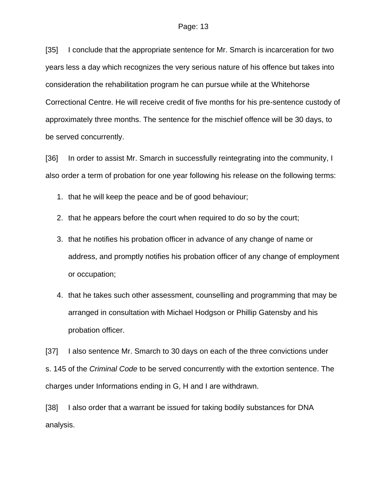[35] I conclude that the appropriate sentence for Mr. Smarch is incarceration for two years less a day which recognizes the very serious nature of his offence but takes into consideration the rehabilitation program he can pursue while at the Whitehorse Correctional Centre. He will receive credit of five months for his pre-sentence custody of approximately three months. The sentence for the mischief offence will be 30 days, to be served concurrently.

[36] In order to assist Mr. Smarch in successfully reintegrating into the community, I also order a term of probation for one year following his release on the following terms:

1. that he will keep the peace and be of good behaviour;

- 2. that he appears before the court when required to do so by the court;
- 3. that he notifies his probation officer in advance of any change of name or address, and promptly notifies his probation officer of any change of employment or occupation;
- 4. that he takes such other assessment, counselling and programming that may be arranged in consultation with Michael Hodgson or Phillip Gatensby and his probation officer.

[37] I also sentence Mr. Smarch to 30 days on each of the three convictions under s. 145 of the *Criminal Code* to be served concurrently with the extortion sentence. The charges under Informations ending in G, H and I are withdrawn.

[38] I also order that a warrant be issued for taking bodily substances for DNA analysis.